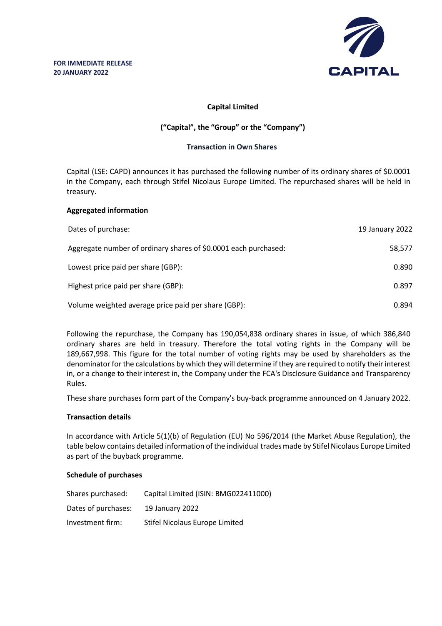

## **Capital Limited**

# **("Capital", the "Group" or the "Company")**

### **Transaction in Own Shares**

Capital (LSE: CAPD) announces it has purchased the following number of its ordinary shares of \$0.0001 in the Company, each through Stifel Nicolaus Europe Limited. The repurchased shares will be held in treasury.

## **Aggregated information**

| Dates of purchase:                                              | 19 January 2022 |
|-----------------------------------------------------------------|-----------------|
| Aggregate number of ordinary shares of \$0.0001 each purchased: | 58,577          |
| Lowest price paid per share (GBP):                              | 0.890           |
| Highest price paid per share (GBP):                             | 0.897           |
| Volume weighted average price paid per share (GBP):             | 0.894           |

Following the repurchase, the Company has 190,054,838 ordinary shares in issue, of which 386,840 ordinary shares are held in treasury. Therefore the total voting rights in the Company will be 189,667,998. This figure for the total number of voting rights may be used by shareholders as the denominator for the calculations by which they will determine if they are required to notify their interest in, or a change to their interest in, the Company under the FCA's Disclosure Guidance and Transparency Rules.

These share purchases form part of the Company's buy-back programme announced on 4 January 2022.

### **Transaction details**

In accordance with Article 5(1)(b) of Regulation (EU) No 596/2014 (the Market Abuse Regulation), the table below contains detailed information of the individual trades made by Stifel Nicolaus Europe Limited as part of the buyback programme.

### **Schedule of purchases**

| Shares purchased:   | Capital Limited (ISIN: BMG022411000) |
|---------------------|--------------------------------------|
| Dates of purchases: | 19 January 2022                      |
| Investment firm:    | Stifel Nicolaus Europe Limited       |